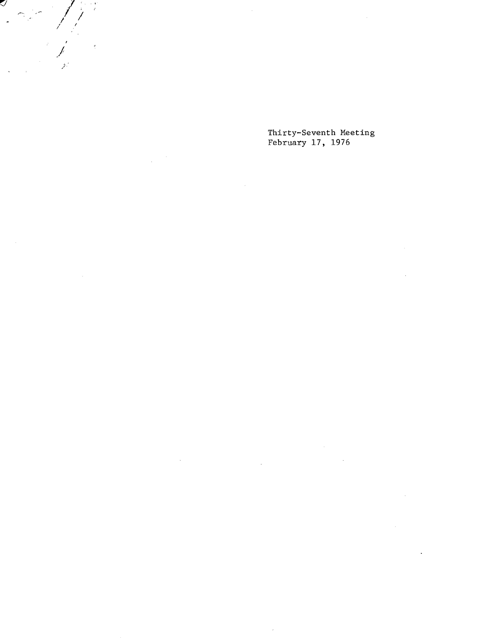Thirty-Seventh Meeting February 17, 1976

i,

 $\int$ 

ý.

IJ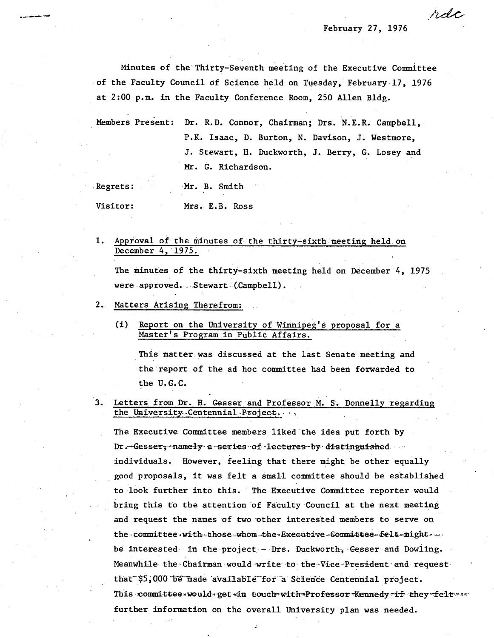February 27, 1976

rdc

Minutes of the Thirty-Seventh meeting of the Executive Committee of the Faculty Council of Science held on Tuesday, February 17, 1976 at 2:00 p.m. in the Faculty Conference Room, 250 Allen Bldg.

Members Present: Dr. R.D. Connor, Chairman; Drs. N.E.R. Campbell, P.K. Isaac, D. Burton, N. Davison, J. Westmore, J. Stewart, H. Duckworth, J. Berry, G. Losey and Mr. G. Richardson.

| Regrets: |  |  |  | Mr. B. Smith |
|----------|--|--|--|--------------|
|----------|--|--|--|--------------|

Visitor:

Mrs. E.B. Ross

1. Approval of the minutes of the thirty-sixth meeting held on December 4, 1975.

The minutes of the thirty-sixth meeting held on December 4, 1975 were approved. Stewart (Campbell).

- 2. Matters Arising Therefrom:
	- $(i)$ Report on the University of Winnipeg's proposal for a Master's Program in Public Affairs.

This matter was discussed at the last Senate meeting and the report of the ad hoc committee had been forwarded to the U.G.C.

3. Letters from Dr. H. Gesser and Professor M. S. Donnelly regarding the University Centennial Project.

The Executive Committee members liked the idea put forth by Dr. Gesser, namely a series of lectures by distinguished individuals. However, feeling that there might be other equally good proposals, it was felt a small committee should be established to look further into this. The Executive Committee reporter would bring this to the attention of Faculty Council at the next meeting and request the names of two other interested members to serve on the committee with those whom the Executive Committee felt might. be interested in the project - Drs. Duckworth, Gesser and Dowling. Meanwhile the Chairman would write to the Vice President and request that \$5,000 be made available for a Science Centennial project. This committee would get in touch with Professor Kennedy if they felt as further information on the overall University plan was needed.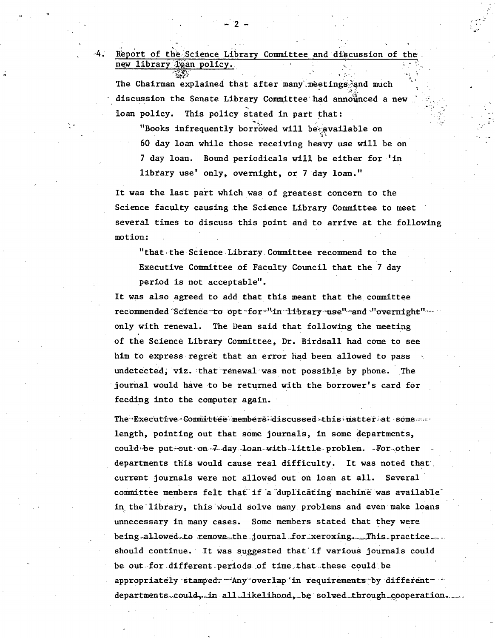The Chairman explained that after many meetings and much discussion the Senate Library Committee had announced a new This policy stated in part that: loan policy.

"Books infrequently borrowed will be available on 60 day loan while those receiving heavy use will be on 7 day loan. Bound periodicals will be either for 'in library use' only, overnight, or 7 day loan."

It was the last part which was of greatest concern to the Science faculty causing the Science Library Committee to meet several times to discuss this point and to arrive at the following motion:

"that the Science Library Committee recommend to the Executive Committee of Faculty Council that the 7 day period is not acceptable".

It was also agreed to add that this meant that the committee recommended Science to opt for "'in library use" and "overnight" only with renewal. The Dean said that following the meeting of the Science Library Committee, Dr. Birdsall had come to see him to express regret that an error had been allowed to pass undetected, viz. that renewal was not possible by phone. The journal would have to be returned with the borrower's card for feeding into the computer again.

The Executive Committee members discussed this matter at some length, pointing out that some journals, in some departments, could be put out on 7 day loan with little problem. For other departments this would cause real difficulty. It was noted that current journals were not allowed out on loan at all. Several committee members felt that if a duplicating machine was available in the library, this would solve many problems and even make loans unnecessary in many cases. Some members stated that they were being allowed to remove the journal for xeroxing. This practice should continue. It was suggested that if various journals could be out for different periods of time that these could be appropriately stamped. Any overlap in requirements by different departments could, in all likelihood, be solved through cooperation.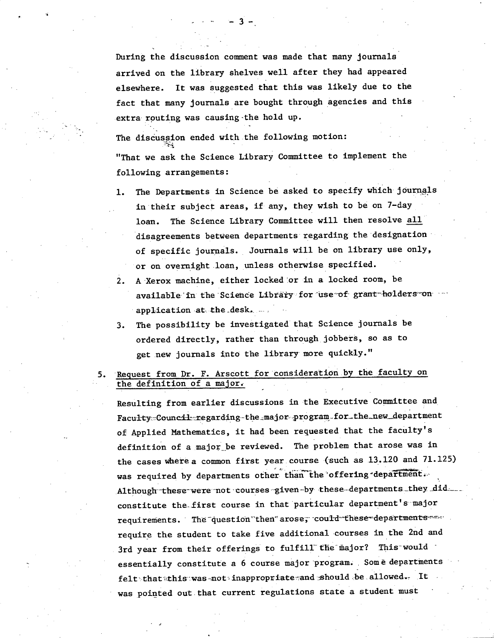During the discussion comment was made that many journals arrived on the library shelves well after they had appeared It was suggested that this was likely due to the elsewhere. fact that many journals are bought through agencies and this extra routing was causing the hold up.

The discussion ended with the following motion: "That we ask the Science Library Committee to implement the following arrangements:

- The Departments in Science be asked to specify which journals  $1.$ in their subject areas, if any, they wish to be on 7-day The Science Library Committee will then resolve all loan. disagreements between departments regarding the designation of specific journals. Journals will be on library use only, or on overnight loan, unless otherwise specified.
- A Xerox machine, either locked or in a locked room, be  $2.$ available in the Science Library for use of grant holders on application at the desk.
- The possibility be investigated that Science journals be 3. ordered directly, rather than through jobbers, so as to get new journals into the library more quickly."
- 5. Request from Dr. F. Arscott for consideration by the faculty on the definition of a major.

Resulting from earlier discussions in the Executive Committee and Faculty=Council=regarding-the\_major program for the\_new\_department of Applied Mathematics, it had been requested that the faculty's definition of a major be reviewed. The problem that arose was in the cases where a common first year course (such as 13.120 and 71.125) was required by departments other than the offering department. Although these were not courses given by these departments they did constitute the first course in that particular department's major requirements. The question then arose, could these departments require the student to take five additional courses in the 2nd and 3rd year from their offerings to fulfill the major? This would essentially constitute a 6 course major program. Some departments felt that this was not inappropriate and should be allowed. It was pointed out that current regulations state a student must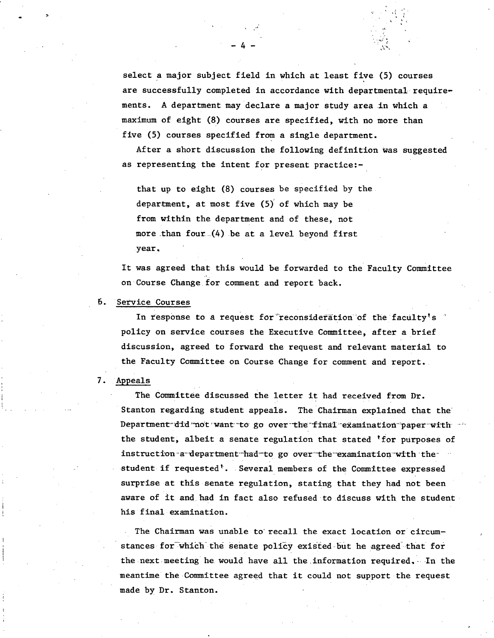select a major subject field in which at least five (5) courses are successfully completed in accordance with departmental requirements. A department may declare a major study area in which a maximum of eight (8) courses are specified, with no more than five (5) courses specified from a single department.

After a short discussion the following definition was suggested as representing the intent for present practice:-

that up to eight (8) courses be specified by the. department, at most five  $(5)$  of which may be from within the department and of these, not more than four  $(4)$  be at a level beyond first year.

 $-4-$ 

It was agreed that this would be forwarded to the Faculty Committee on Course Change for comment and report back.

### . Service 'Courses

In response to a request for reconsideration of the faculty's policy on service courses the Executive Committee, after a brief discussion, agreed to forward the request and relevant material to the Faculty Committee on Course Change for comment and report.

## 7. Appeals

The Committee discussed the letter it had received from Dr. Stanton regarding student appeals. The Chairman explained that the Department did not want to go over the final examination paper with the student, albeit a senate regulation that stated 'for purposes of instruction-a-department-had-to go over the examination with thestudent if requested'. Several members of the Committee expressed surprise at this senate regulation, stating that they had not been aware of it and had in fact also refused to discuss with the student his final examination.

The Chairman was unable to recall the exact location or circumstances for which the senate policy existed but he agreed that for the next meeting he would have all the information required. In the meantime the-Committee agreed that it could not support the request made by Dr. Stanton.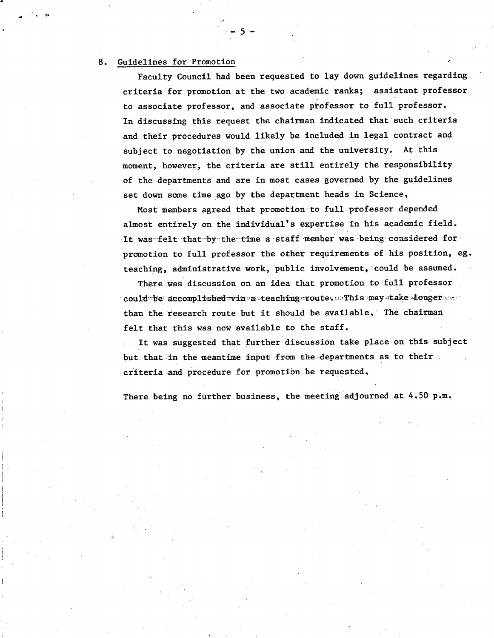#### 8. Guidelines for Promotion

Faculty Council had been requested to lay down guidelines regarding criteria for promotion at the two academic ranks; assistant professor to associate professor, and associate professor to full professor. In discussing this request the chairman indicated that such criteria. and their procedures would likely be included in legal contract and subject to negotiation by the union and the university. At this moment, however, the criteria are still entirely the responsibility of the departments and are in most cases governed by the guidelines set down some time ago by the department heads in Science

-.5-

Most members agreed that promotion to full professor depended almost entirely on the individual's expertise in his academic field. It was felt that by the time a staff member was being considered for promotion to full professor the other requirements of his position, eg. teaching, administrative work, public involvement, could be assumed.

There was discussion on an idea that promotion to full professor could be accomplished via a teaching route .This may take longer than the research route but it should be available. The chairman felt that this was now available to the staff.

It was suggested that further discussion take place on this subject but that in the meantime input from the departments as to their criteria and procedure for promotion be requested.

There being no further business, the meeting adjourned at  $4.50$  p.m.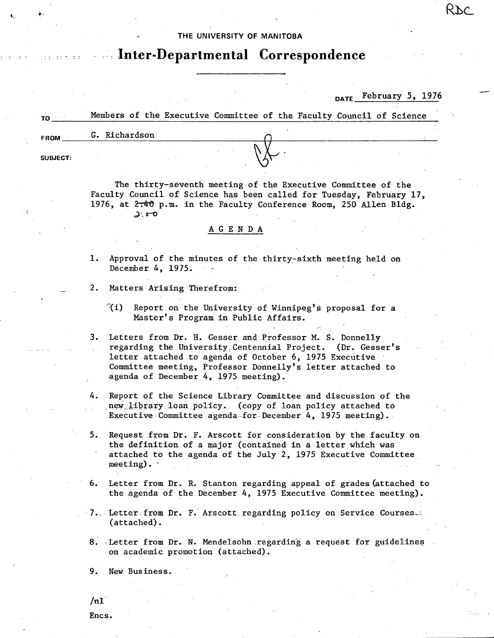### **THE UNIVERSITY OF MANITOBA**

# **- - inter-Departmental Correspondence**

## DATE February 5, 1976

|             |               | Members of the Executive Committee of the Faculty Council of Science |  |
|-------------|---------------|----------------------------------------------------------------------|--|
| <b>FROM</b> | G. Richardson |                                                                      |  |
|             |               |                                                                      |  |
| SUBJECT:    |               |                                                                      |  |

The thirty-seventh meeting of the Executive Committee of the Faculty Council of Science has been called for Tuesday, February 17, 1976, at  $2\pi 40$  p.m. in the Faculty Conference Room, 250 Allen Bldg.  $2.00$ 

### **A G** E N D A

- 1. Approval of the minutes of the thirty-sixth meeting held on December 4, 1975.
- 2. Matters Arising Therefrom:
	- $\mathcal{U}(i)$  Report on the University of Winnipeg's proposal for a Master's Program in Public Affairs.
- 3. Letters from Dr. H. Gesser and Professor M. S. Donnelly regarding the University Centennial Project. (Dr. Gesser's letter attached to agenda of October 6, 1975 Executive Committee meeting, Professor Donnelly's letter attached to agenda of December 4, 1975 meeting).
- 4. Report of the Science Library Committee and discussion of the new library loan policy. (copy of loan policy attached to Executive Committee agenda-for-December 4, 1975 meeting).
- Request from Dr. F. Arscott for consideration by the faculty on 5. the definition of a major (contained in a letter which was attached to the agenda of the July 2, 1975 Executive Committee meeting).
- Letter from Dr. R. Stanton regarding appeal of grades (attached to 6. · the agenda of the December 4, 1975 Executive Committee meeting).
- 7. Letter from Dr. F. Arscott regarding policy on Service Courses. (attached).
- 8. Letter from Dr. N. Mendelsohn regarding a request for guidelines on academic promotion (attached).

9. New Business.

 $/n1$ 

Encs.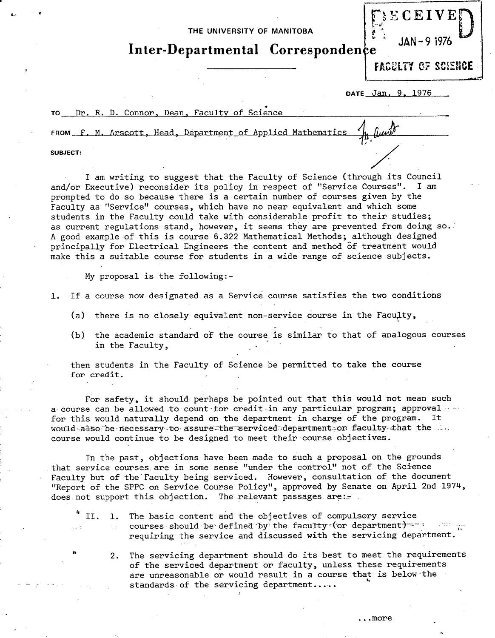**THE UNIVERSITY OF MANITOBA** 

**Inter-Departmental Corresponden** 

FACULTY OF SCIENCE

 $\mathbb{R}^{\text{ECEIVE}}$ 

JAN -9 1976

**DATE** Jan. 9, 1976

TO Dr. R. D. Connor, Dean, Faculty of Science

FROM F. M. Arscott, Head, Department of Applied Mathematics

**SUBJECT:** 

*al* 

I am writing to suggest that the Faculty of Science (through its Council and/or Executive) reconsider its policy in respect of "Service Courses". I am prompted to do so because there is a certain number of courses given by the Faculty as "Service" courses, which have no near equivalent and which some students in the Faculty could take with considerable profit to their studies; as current regulations stand, however, it seems they are prevented from doing so. A good example of this is course 6.322 Mathematical Methods; although designed principally for Electrical Engineers the content and method 6f- treatment would make this a suitable course for students in a wide range of science subjects.

My proposal is the following:-

- 1. If a course now designated as a Service course satisfies the two conditions
	- (a) there is no closely equivalent non-service course in the Faculty,
	- (b) the academic standard of the course is similar to that of analogous courses in the Faculty,

then students in the Faculty of Science be permitted to take the course for credit.

For safety, it should perhaps be pointed out that this would not mean such a course can be allowed to count for credit in any particular program; approval for this would naturally depend on the department in charge of the program. It would also be necessary-to assure the serviced department or faculty that the line course would continue to be designed to meet their course objectives.

In the past, objections have been made to such a proposal on the grounds that service courses; are in some sense "under the control" not of the Science Faculty but of the'Faculty being serviced. However, consultation of the document "Report of the SPPC on Service Course Policy", approved by Senate on April 2nd 1974, does not support this objection. The relevant passages are:

II. 1. The basic content and the objectives of compulsory service courses should be defined by the faculty (or department) == : requiring the service and discussed with the servicing department.

2. The servicing department should do its best to meet the requirements of the serviced department or faculty, unless these requirements are unreasonable or would result in a course that is below the standards of the servicing department.....